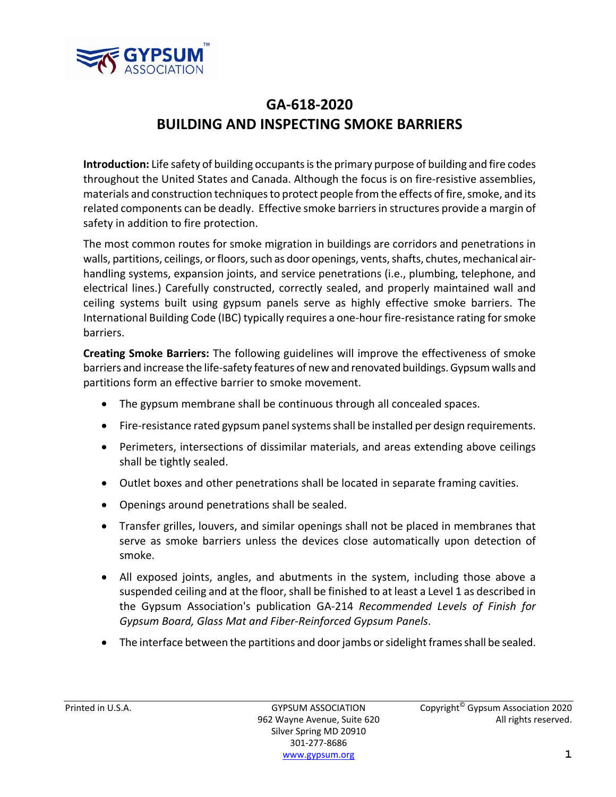

## **GA‐618‐2020 BUILDING AND INSPECTING SMOKE BARRIERS**

**Introduction:** Life safety of building occupantsisthe primary purpose of building and fire codes throughout the United States and Canada. Although the focus is on fire‐resistive assemblies, materials and construction techniques to protect people from the effects of fire, smoke, and its related components can be deadly. Effective smoke barriersin structures provide a margin of safety in addition to fire protection.

The most common routes for smoke migration in buildings are corridors and penetrations in walls, partitions, ceilings, or floors, such as door openings, vents, shafts, chutes, mechanical airhandling systems, expansion joints, and service penetrations (i.e., plumbing, telephone, and electrical lines.) Carefully constructed, correctly sealed, and properly maintained wall and ceiling systems built using gypsum panels serve as highly effective smoke barriers. The International Building Code (IBC) typically requires a one-hour fire-resistance rating for smoke barriers.

**Creating Smoke Barriers:** The following guidelines will improve the effectiveness of smoke barriers and increase the life‐safety features of new and renovated buildings.Gypsumwalls and partitions form an effective barrier to smoke movement.

- The gypsum membrane shall be continuous through all concealed spaces.
- Fire-resistance rated gypsum panel systems shall be installed per design requirements.
- Perimeters, intersections of dissimilar materials, and areas extending above ceilings shall be tightly sealed.
- Outlet boxes and other penetrations shall be located in separate framing cavities.
- Openings around penetrations shall be sealed.
- Transfer grilles, louvers, and similar openings shall not be placed in membranes that serve as smoke barriers unless the devices close automatically upon detection of smoke.
- All exposed joints, angles, and abutments in the system, including those above a suspended ceiling and at the floor, shall be finished to at least a Level 1 as described in the Gypsum Association's publication GA‐214 *Recommended Levels of Finish for Gypsum Board, Glass Mat and Fiber‐Reinforced Gypsum Panels*.
- $\bullet$  The interface between the partitions and door jambs or sidelight frames shall be sealed.